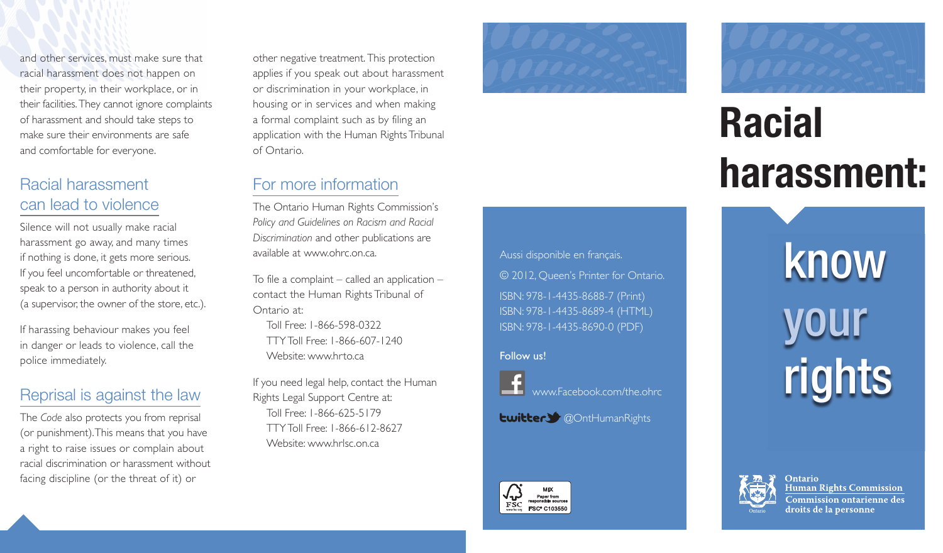and other services, must make sure that racial harassment does not happen on their property, in their workplace, or in their facilities. They cannot ignore complaints of harassment and should take steps to make sure their environments are safe and comfortable for everyone.

### Racial harassment can lead to violence

Silence will not usually make racial harassment go away, and many times if nothing is done, it gets more serious. If you feel uncomfortable or threatened, speak to a person in authority about it (a supervisor, the owner of the store, etc.).

If harassing behaviour makes you feel in danger or leads to violence, call the police immediately.

#### Reprisal is against the law

The *Code* also protects you from reprisal (or punishment). This means that you have a right to raise issues or complain about racial discrimination or harassment without facing discipline (or the threat of it) or

other negative treatment. This protection applies if you speak out about harassment or discrimination in your workplace, in housing or in services and when making a formal complaint such as by filing an application with the Human Rights Tribunal of Ontario.

For more information

available at www.ohrc.on.ca.

Toll Free: 1-866-598-0322

Rights Legal Support Centre at: Toll Free: 1-866-625-5179

Website: www.hrlsc.on.ca

TTY Toll Free: 1-866-612-8627

Website: www.hrto.ca

TTY Toll Free: 1-866-607-1240

If you need legal help, contact the Human

Ontario at:

The Ontario Human Rights Commission's *Policy and Guidelines on Racism and Racial Discrimination* and other publications are

To file a complaint  $-$  called an application  $$ contact the Human Rights Tribunal of





# **Racial harassment:**

Aussi disponible en français. © 2012, Queen's Printer for Ontario. ISBN: 978-1-4435-8688-7 (Print) ISBN: 978-1-4435-8689-4 (HTML) ISBN: 978-1-4435-8690-0 (PDF)

#### Follow us!



[www.Facebook.com/the.ohrc](https://www.Facebook.com/the.ohrc) 

**Ewitter:** @OntHumanRights



know your rights



**Ontario Human Rights Commission** Commission ontarienne des droits de la personne